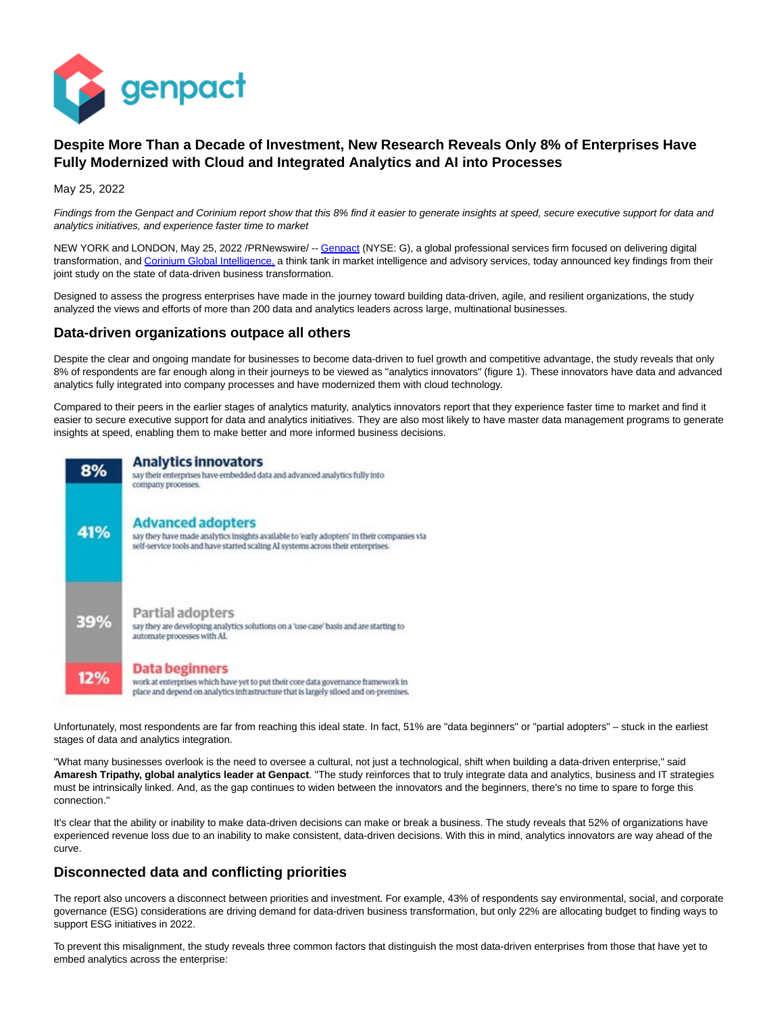

# **Despite More Than a Decade of Investment, New Research Reveals Only 8% of Enterprises Have Fully Modernized with Cloud and Integrated Analytics and AI into Processes**

May 25, 2022

Findings from the Genpact and Corinium report show that this 8% find it easier to generate insights at speed, secure executive support for data and analytics initiatives, and experience faster time to market

NEW YORK and LONDON, May 25, 2022 /PRNewswire/ -- [Genpact \(](https://c212.net/c/link/?t=0&l=en&o=3546854-1&h=3257477752&u=https%3A%2F%2Fwww.genpact.com%2F&a=Genpact)NYSE: G), a global professional services firm focused on delivering digital transformation, and [Corinium Global Intelligence, a](https://c212.net/c/link/?t=0&l=en&o=3546854-1&h=713688994&u=https%3A%2F%2Fwww.coriniumintelligence.com%2F%3FhsLang%3Den-gb&a=Corinium+Global+Intelligence%2C) think tank in market intelligence and advisory services, today announced key findings from their joint study on the state of data-driven business transformation.

Designed to assess the progress enterprises have made in the journey toward building data-driven, agile, and resilient organizations, the study analyzed the views and efforts of more than 200 data and analytics leaders across large, multinational businesses.

### **Data-driven organizations outpace all others**

Despite the clear and ongoing mandate for businesses to become data-driven to fuel growth and competitive advantage, the study reveals that only 8% of respondents are far enough along in their journeys to be viewed as "analytics innovators" (figure 1). These innovators have data and advanced analytics fully integrated into company processes and have modernized them with cloud technology.

Compared to their peers in the earlier stages of analytics maturity, analytics innovators report that they experience faster time to market and find it easier to secure executive support for data and analytics initiatives. They are also most likely to have master data management programs to generate insights at speed, enabling them to make better and more informed business decisions.



Unfortunately, most respondents are far from reaching this ideal state. In fact, 51% are "data beginners" or "partial adopters" – stuck in the earliest stages of data and analytics integration.

"What many businesses overlook is the need to oversee a cultural, not just a technological, shift when building a data-driven enterprise," said **Amaresh Tripathy, global analytics leader at Genpact**. "The study reinforces that to truly integrate data and analytics, business and IT strategies must be intrinsically linked. And, as the gap continues to widen between the innovators and the beginners, there's no time to spare to forge this connection."

It's clear that the ability or inability to make data-driven decisions can make or break a business. The study reveals that 52% of organizations have experienced revenue loss due to an inability to make consistent, data-driven decisions. With this in mind, analytics innovators are way ahead of the curve.

## **Disconnected data and conflicting priorities**

The report also uncovers a disconnect between priorities and investment. For example, 43% of respondents say environmental, social, and corporate governance (ESG) considerations are driving demand for data-driven business transformation, but only 22% are allocating budget to finding ways to support ESG initiatives in 2022.

To prevent this misalignment, the study reveals three common factors that distinguish the most data-driven enterprises from those that have yet to embed analytics across the enterprise: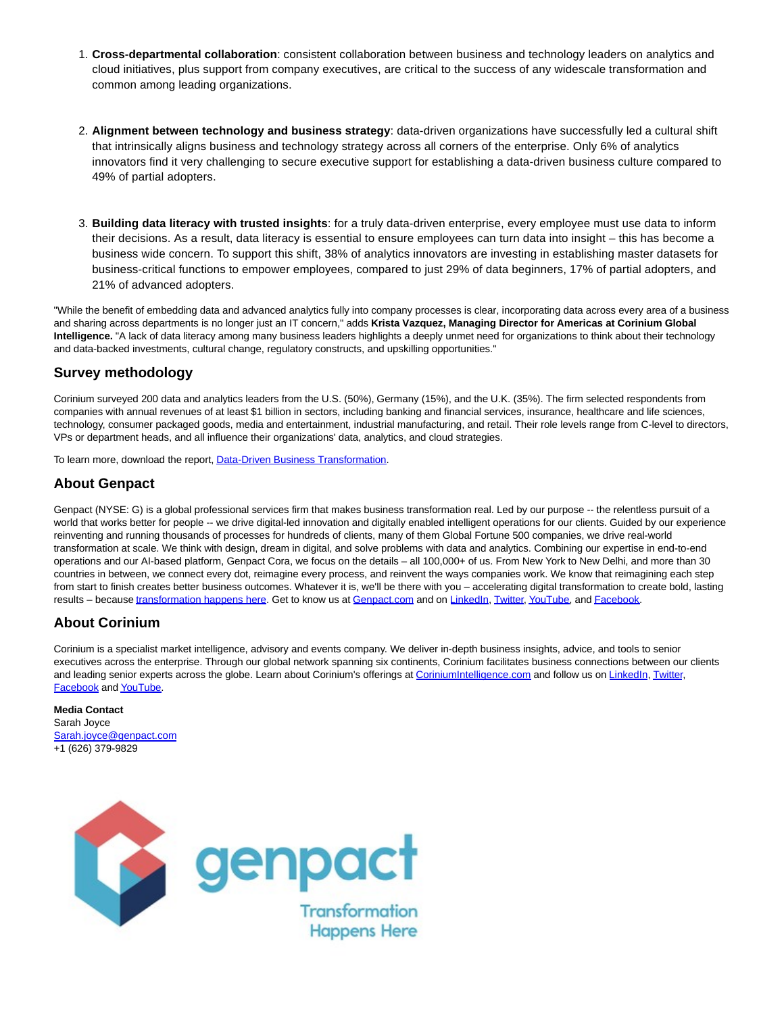- **Cross-departmental collaboration**: consistent collaboration between business and technology leaders on analytics and 1. cloud initiatives, plus support from company executives, are critical to the success of any widescale transformation and common among leading organizations.
- **Alignment between technology and business strategy**: data-driven organizations have successfully led a cultural shift 2. that intrinsically aligns business and technology strategy across all corners of the enterprise. Only 6% of analytics innovators find it very challenging to secure executive support for establishing a data-driven business culture compared to 49% of partial adopters.
- **Building data literacy with trusted insights**: for a truly data-driven enterprise, every employee must use data to inform 3. their decisions. As a result, data literacy is essential to ensure employees can turn data into insight – this has become a business wide concern. To support this shift, 38% of analytics innovators are investing in establishing master datasets for business-critical functions to empower employees, compared to just 29% of data beginners, 17% of partial adopters, and 21% of advanced adopters.

"While the benefit of embedding data and advanced analytics fully into company processes is clear, incorporating data across every area of a business and sharing across departments is no longer just an IT concern," adds **Krista Vazquez, Managing Director for Americas at Corinium Global Intelligence.** "A lack of data literacy among many business leaders highlights a deeply unmet need for organizations to think about their technology and data-backed investments, cultural change, regulatory constructs, and upskilling opportunities."

## **Survey methodology**

Corinium surveyed 200 data and analytics leaders from the U.S. (50%), Germany (15%), and the U.K. (35%). The firm selected respondents from companies with annual revenues of at least \$1 billion in sectors, including banking and financial services, insurance, healthcare and life sciences, technology, consumer packaged goods, media and entertainment, industrial manufacturing, and retail. Their role levels range from C-level to directors, VPs or department heads, and all influence their organizations' data, analytics, and cloud strategies.

To learn more, download the report[, Data-Driven Business Transformation.](https://c212.net/c/link/?t=0&l=en&o=3546854-1&h=2645198508&u=https%3A%2F%2Fwww.genpact.com%2Flp%2Fdata-driven-business-transformation-ng&a=Data-Driven+Business+Transformation)

### **About Genpact**

Genpact (NYSE: G) is a global professional services firm that makes business transformation real. Led by our purpose -- the relentless pursuit of a world that works better for people -- we drive digital-led innovation and digitally enabled intelligent operations for our clients. Guided by our experience reinventing and running thousands of processes for hundreds of clients, many of them Global Fortune 500 companies, we drive real-world transformation at scale. We think with design, dream in digital, and solve problems with data and analytics. Combining our expertise in end-to-end operations and our AI-based platform, Genpact Cora, we focus on the details – all 100,000+ of us. From New York to New Delhi, and more than 30 countries in between, we connect every dot, reimagine every process, and reinvent the ways companies work. We know that reimagining each step from start to finish creates better business outcomes. Whatever it is, we'll be there with you – accelerating digital transformation to create bold, lasting results – becaus[e transformation happens here.](https://c212.net/c/link/?t=0&l=en&o=3546854-1&h=1626966560&u=https%3A%2F%2Fc212.net%2Fc%2Flink%2F%3Ft%3D0%26l%3Den%26o%3D3494261-1%26h%3D1617440780%26u%3Dhttps%253A%252F%252Fwww.genpact.com%252F%26a%3Dtransformation%2Bhappens%2Bhere&a=transformation+happens+here) Get to know us at [Genpact.com a](https://c212.net/c/link/?t=0&l=en&o=3546854-1&h=730092459&u=https%3A%2F%2Fc212.net%2Fc%2Flink%2F%3Ft%3D0%26l%3Den%26o%3D3494261-1%26h%3D3596884656%26u%3Dhttps%253A%252F%252Fwww.genpact.com%252F%26a%3DGenpact.com&a=Genpact.com)nd on [LinkedIn,](https://c212.net/c/link/?t=0&l=en&o=3546854-1&h=1743644228&u=https%3A%2F%2Fc212.net%2Fc%2Flink%2F%3Ft%3D0%26l%3Den%26o%3D3494261-1%26h%3D3110733755%26u%3Dhttps%253A%252F%252Fapc01.safelinks.protection.outlook.com%252F%253Furl%253Dhttp%25253A%25252F%25252Fwww.linkedin.com%25252Fcompany%25252F210064%25253Ftrk%25253Dtyah%2526data%253D04%25257C01%25257Cmichael.schneider%252540genpact.com%25257C36e092a6cbee4968b83808d8ded7e123%25257Cbdef8a20aaac4f80b3a0d9a32f99fd33%25257C0%25257C0%25257C637504366073816652%25257CUnknown%25257CTWFpbGZsb3d8eyJWIjoiMC4wLjAwMDAiLCJQIjoiV2luMzIiLCJBTiI6Ik1haWwiLCJXVCI6Mn0%25253D%25257C1000%2526sdata%253DdI2MonYmx62W%25252B%25252Bj7Nv8Pl%25252FZ%25252Bu54VsKEEpCjVYVVhfMY%25253D%2526reserved%253D0%26a%3DLinkedIn&a=LinkedIn) [Twitter,](https://c212.net/c/link/?t=0&l=en&o=3546854-1&h=1956493244&u=https%3A%2F%2Fc212.net%2Fc%2Flink%2F%3Ft%3D0%26l%3Den%26o%3D3494261-1%26h%3D1007119558%26u%3Dhttps%253A%252F%252Fapc01.safelinks.protection.outlook.com%252F%253Furl%253Dhttps%25253A%25252F%25252Ftwitter.com%25252Fgenpact%2526data%253D04%25257C01%25257Cmichael.schneider%252540genpact.com%25257C36e092a6cbee4968b83808d8ded7e123%25257Cbdef8a20aaac4f80b3a0d9a32f99fd33%25257C0%25257C0%25257C637504366073826642%25257CUnknown%25257CTWFpbGZsb3d8eyJWIjoiMC4wLjAwMDAiLCJQIjoiV2luMzIiLCJBTiI6Ik1haWwiLCJXVCI6Mn0%25253D%25257C1000%2526sdata%253D4RHTQLoe6NjNpDpHfjgq555Cy7S%25252FuiHZCXnsLW1D%25252F4E%25253D%2526reserved%253D0%26a%3DTwitter&a=Twitter) [YouTube,](https://c212.net/c/link/?t=0&l=en&o=3546854-1&h=4167772412&u=https%3A%2F%2Fc212.net%2Fc%2Flink%2F%3Ft%3D0%26l%3Den%26o%3D3494261-1%26h%3D967895270%26u%3Dhttps%253A%252F%252Fapc01.safelinks.protection.outlook.com%252F%253Furl%253Dhttps%25253A%25252F%25252Fwww.youtube.com%25252Fuser%25252FGenpactLtd%2526data%253D04%25257C01%25257Cmichael.schneider%252540genpact.com%25257C36e092a6cbee4968b83808d8ded7e123%25257Cbdef8a20aaac4f80b3a0d9a32f99fd33%25257C0%25257C0%25257C637504366073836637%25257CUnknown%25257CTWFpbGZsb3d8eyJWIjoiMC4wLjAwMDAiLCJQIjoiV2luMzIiLCJBTiI6Ik1haWwiLCJXVCI6Mn0%25253D%25257C1000%2526sdata%253DKmGUhrZjl30wSPTlozmQtQzDjc2KGQmHv6iUTuWodY4%25253D%2526reserved%253D0%26a%3DYouTube&a=YouTube) an[d Facebook.](https://c212.net/c/link/?t=0&l=en&o=3546854-1&h=522209292&u=https%3A%2F%2Fc212.net%2Fc%2Flink%2F%3Ft%3D0%26l%3Den%26o%3D3494261-1%26h%3D1215853479%26u%3Dhttps%253A%252F%252Fapc01.safelinks.protection.outlook.com%252F%253Furl%253Dhttp%25253A%25252F%25252Fwww.facebook.com%25252Fpages%25252FGenpact%25252F105635026136729%2526data%253D04%25257C01%25257Cmichael.schneider%252540genpact.com%25257C36e092a6cbee4968b83808d8ded7e123%25257Cbdef8a20aaac4f80b3a0d9a32f99fd33%25257C0%25257C0%25257C637504366073836637%25257CUnknown%25257CTWFpbGZsb3d8eyJWIjoiMC4wLjAwMDAiLCJQIjoiV2luMzIiLCJBTiI6Ik1haWwiLCJXVCI6Mn0%25253D%25257C1000%2526sdata%253DzDxZKlmqXRD5SGX%25252FgNaZ81CHPC6AGmPPf0nLlfypIbo%25253D%2526reserved%253D0%26a%3DFacebook&a=Facebook)

# **About Corinium**

Corinium is a specialist market intelligence, advisory and events company. We deliver in-depth business insights, advice, and tools to senior executives across the enterprise. Through our global network spanning six continents, Corinium facilitates business connections between our clients and leading senior experts across the globe. Learn about Corinium's offerings at [CoriniumIntelligence.com a](https://c212.net/c/link/?t=0&l=en&o=3546854-1&h=831149125&u=https%3A%2F%2Fwww.coriniumintelligence.com%2F&a=CoriniumIntelligence.com)nd follow us on [LinkedIn,](https://c212.net/c/link/?t=0&l=en&o=3546854-1&h=3310555755&u=https%3A%2F%2Fwww.linkedin.com%2Fcompany%2Fcorinium-global-intelligence&a=LinkedIn) [Twitter,](https://c212.net/c/link/?t=0&l=en&o=3546854-1&h=1074314486&u=https%3A%2F%2Ftwitter.com%2Fcoriniumglobal&a=Twitter) [Facebook a](https://c212.net/c/link/?t=0&l=en&o=3546854-1&h=3190664380&u=https%3A%2F%2Fwww.facebook.com%2FCoriniumGlobal&a=Facebook)n[d YouTube.](https://c212.net/c/link/?t=0&l=en&o=3546854-1&h=255905833&u=https%3A%2F%2Fwww.youtube.com%2Fchannel%2FUCnuGiXMWAH5bhfXOfWkPIuw&a=YouTube)

#### **Media Contact**

Sarah Joyce [Sarah.joyce@genpact.com](mailto:Sarah.joyce@genpact.com) +1 (626) 379-9829